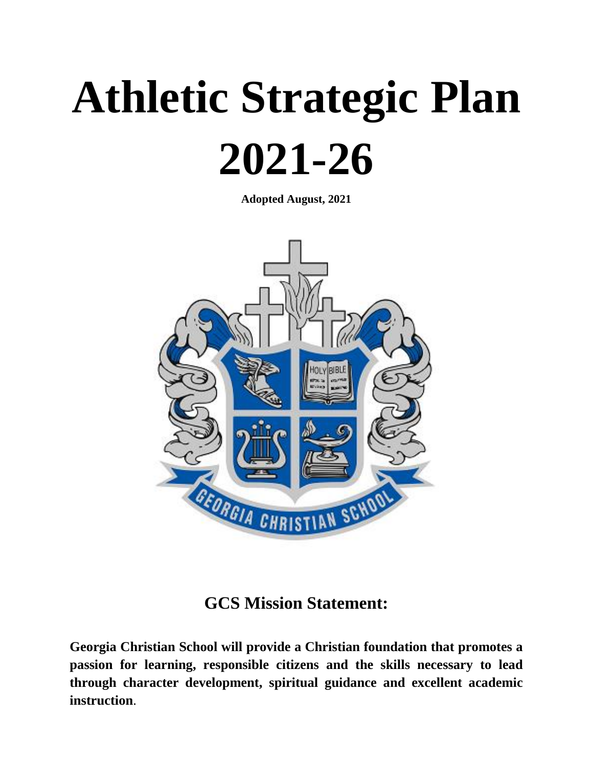# **Athletic Strategic Plan 2021-26**

**Adopted August, 2021**



#### **GCS Mission Statement:**

**Georgia Christian School will provide a Christian foundation that promotes a passion for learning, responsible citizens and the skills necessary to lead through character development, spiritual guidance and excellent academic instruction**.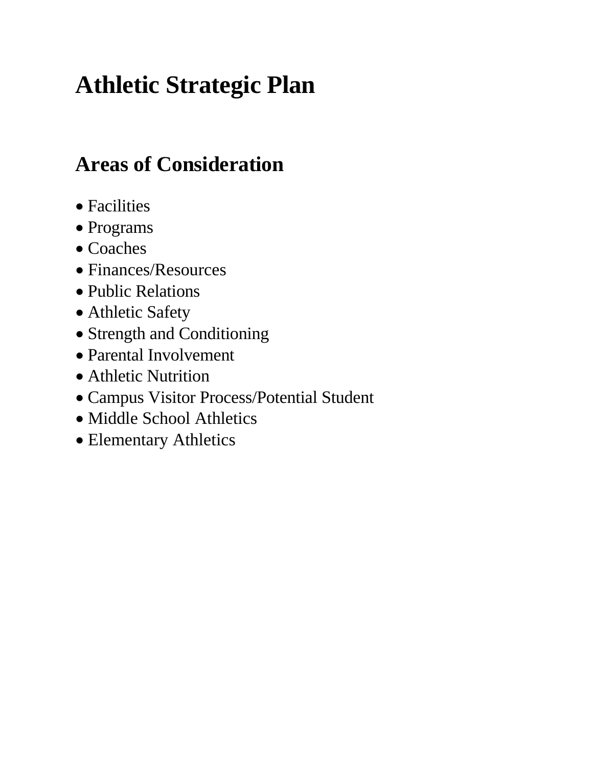## **Athletic Strategic Plan**

### **Areas of Consideration**

- Facilities
- Programs
- Coaches
- Finances/Resources
- Public Relations
- Athletic Safety
- Strength and Conditioning
- Parental Involvement
- Athletic Nutrition
- Campus Visitor Process/Potential Student
- Middle School Athletics
- Elementary Athletics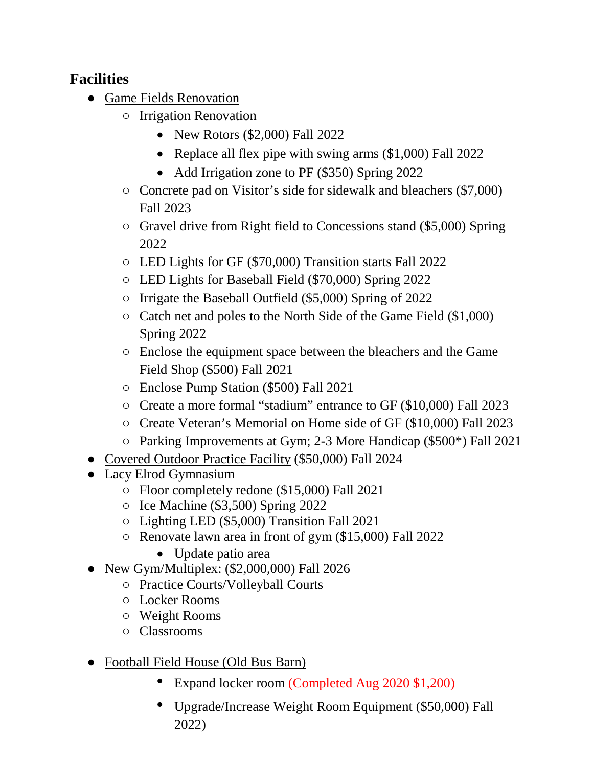#### **Facilities**

- Game Fields Renovation
	- Irrigation Renovation
		- New Rotors (\$2,000) Fall 2022
		- Replace all flex pipe with swing arms (\$1,000) Fall 2022
		- Add Irrigation zone to PF (\$350) Spring 2022
	- Concrete pad on Visitor's side for sidewalk and bleachers (\$7,000) Fall 2023
	- Gravel drive from Right field to Concessions stand (\$5,000) Spring 2022
	- LED Lights for GF (\$70,000) Transition starts Fall 2022
	- LED Lights for Baseball Field (\$70,000) Spring 2022
	- Irrigate the Baseball Outfield (\$5,000) Spring of 2022
	- Catch net and poles to the North Side of the Game Field (\$1,000) Spring 2022
	- Enclose the equipment space between the bleachers and the Game Field Shop (\$500) Fall 2021
	- Enclose Pump Station (\$500) Fall 2021
	- Create a more formal "stadium" entrance to GF (\$10,000) Fall 2023
	- Create Veteran's Memorial on Home side of GF (\$10,000) Fall 2023
	- Parking Improvements at Gym; 2-3 More Handicap (\$500\*) Fall 2021
- Covered Outdoor Practice Facility (\$50,000) Fall 2024
- Lacy Elrod Gymnasium
	- Floor completely redone (\$15,000) Fall 2021
	- Ice Machine (\$3,500) Spring 2022
	- Lighting LED (\$5,000) Transition Fall 2021
	- Renovate lawn area in front of gym (\$15,000) Fall 2022
		- Update patio area
- New Gym/Multiplex:  $(\$2,000,000)$  Fall 2026
	- Practice Courts/Volleyball Courts
	- Locker Rooms
	- Weight Rooms
	- Classrooms
- Football Field House (Old Bus Barn)
	- Expand locker room (Completed Aug 2020 \$1,200)
	- Upgrade/Increase Weight Room Equipment (\$50,000) Fall 2022)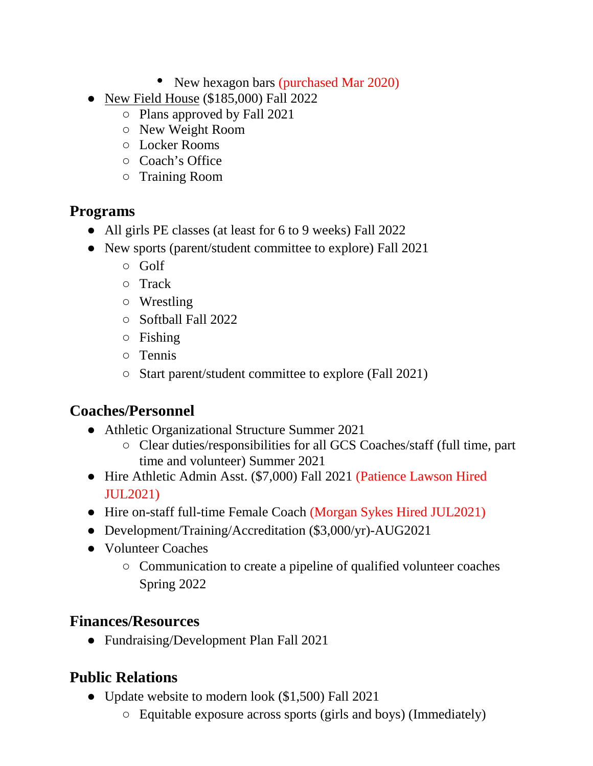- New hexagon bars (purchased Mar 2020)
- New Field House (\$185,000) Fall 2022
	- Plans approved by Fall 2021
	- New Weight Room
	- Locker Rooms
	- Coach's Office
	- Training Room

#### **Programs**

- All girls PE classes (at least for 6 to 9 weeks) Fall 2022
- New sports (parent/student committee to explore) Fall 2021
	- Golf
	- Track
	- Wrestling
	- Softball Fall 2022
	- Fishing
	- Tennis
	- Start parent/student committee to explore (Fall 2021)

#### **Coaches/Personnel**

- Athletic Organizational Structure Summer 2021
	- Clear duties/responsibilities for all GCS Coaches/staff (full time, part time and volunteer) Summer 2021
- Hire Athletic Admin Asst. (\$7,000) Fall 2021 (Patience Lawson Hired JUL2021)
- Hire on-staff full-time Female Coach (Morgan Sykes Hired JUL2021)
- Development/Training/Accreditation (\$3,000/yr)-AUG2021
- Volunteer Coaches
	- Communication to create a pipeline of qualified volunteer coaches Spring 2022

#### **Finances/Resources**

● Fundraising/Development Plan Fall 2021

#### **Public Relations**

- Update website to modern look (\$1,500) Fall 2021
	- Equitable exposure across sports (girls and boys) (Immediately)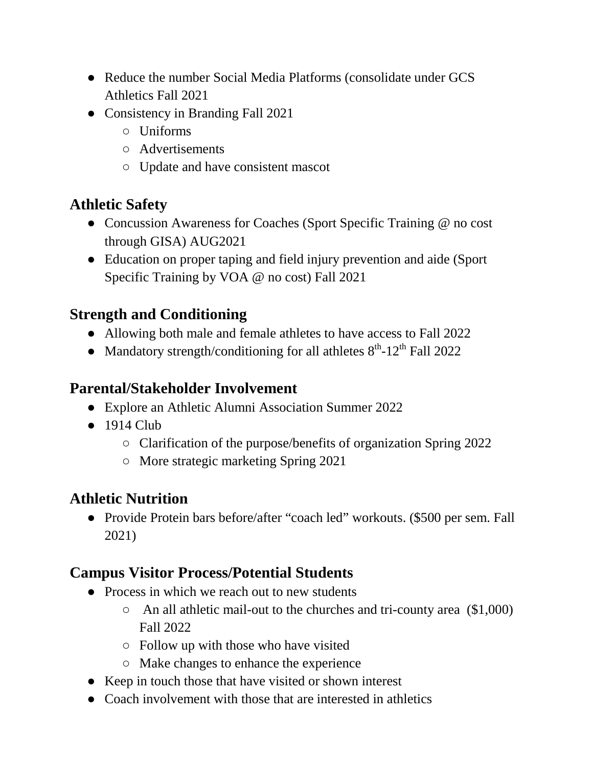- Reduce the number Social Media Platforms (consolidate under GCS Athletics Fall 2021
- Consistency in Branding Fall 2021
	- Uniforms
	- Advertisements
	- Update and have consistent mascot

#### **Athletic Safety**

- Concussion Awareness for Coaches (Sport Specific Training @ no cost through GISA) AUG2021
- Education on proper taping and field injury prevention and aide (Sport) Specific Training by VOA @ no cost) Fall 2021

#### **Strength and Conditioning**

- Allowing both male and female athletes to have access to Fall 2022
- Mandatory strength/conditioning for all athletes  $8<sup>th</sup>$ -12<sup>th</sup> Fall 2022

#### **Parental/Stakeholder Involvement**

- Explore an Athletic Alumni Association Summer 2022
- $\bullet$  1914 Club
	- Clarification of the purpose/benefits of organization Spring 2022
	- More strategic marketing Spring 2021

#### **Athletic Nutrition**

● Provide Protein bars before/after "coach led" workouts. (\$500 per sem. Fall 2021)

#### **Campus Visitor Process/Potential Students**

- Process in which we reach out to new students
	- An all athletic mail-out to the churches and tri-county area (\$1,000) Fall 2022
	- Follow up with those who have visited
	- Make changes to enhance the experience
- Keep in touch those that have visited or shown interest
- Coach involvement with those that are interested in athletics